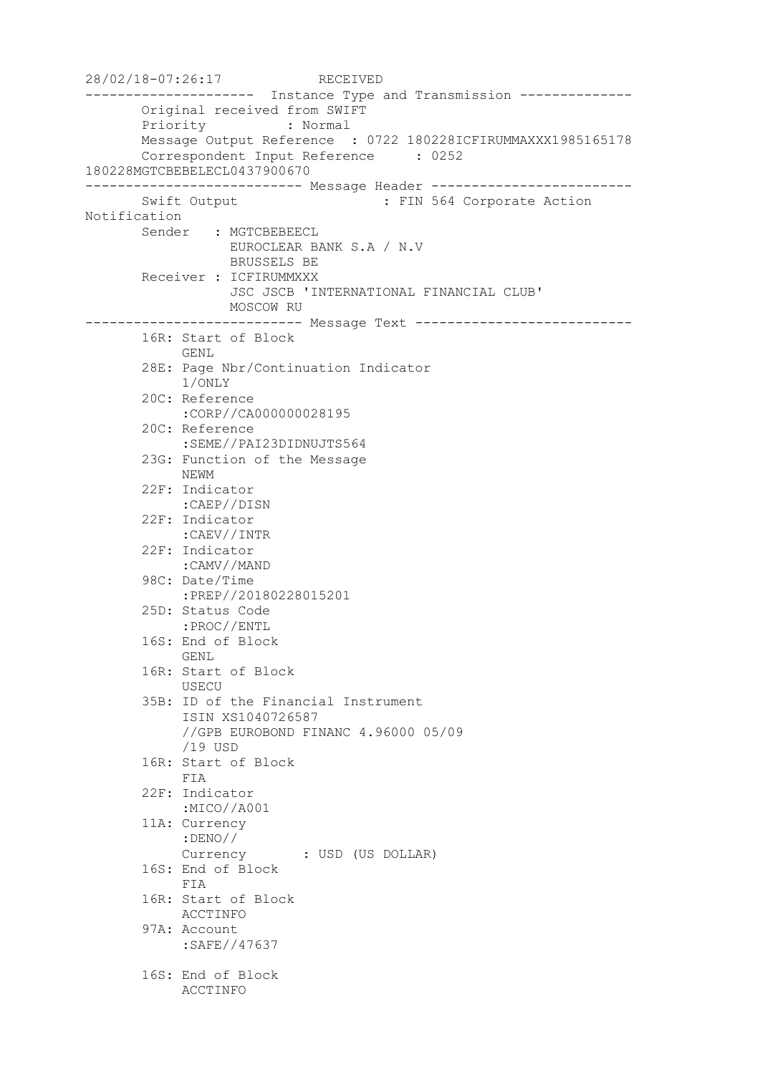28/02/18-07:26:17 RECEIVED --------------------- Instance Type and Transmission -------------- Original received from SWIFT Priority : Normal Message Output Reference : 0722 180228ICFIRUMMAXXX1985165178 Correspondent Input Reference : 0252 180228MGTCBEBELECL0437900670 --------------------------- Message Header ------------------------- Swift Output : FIN 564 Corporate Action Notification Sender : MGTCBEBEECL EUROCLEAR BANK S.A / N.V BRUSSELS BE Receiver : ICFIRUMMXXX JSC JSCB 'INTERNATIONAL FINANCIAL CLUB' MOSCOW RU --------------------------- Message Text --------------------------- 16R: Start of Block GENL 28E: Page Nbr/Continuation Indicator 1/ONLY 20C: Reference :CORP//CA000000028195 20C: Reference :SEME//PAI23DIDNUJTS564 23G: Function of the Message NEWM 22F: Indicator :CAEP//DISN 22F: Indicator :CAEV//INTR 22F: Indicator :CAMV//MAND 98C: Date/Time :PREP//20180228015201 25D: Status Code :PROC//ENTL 16S: End of Block GENL 16R: Start of Block USECU 35B: ID of the Financial Instrument ISIN XS1040726587 //GPB EUROBOND FINANC 4.96000 05/09 /19 USD 16R: Start of Block FIA 22F: Indicator :MICO//A001 11A: Currency :DENO// Currency : USD (US DOLLAR) 16S: End of Block FIA 16R: Start of Block ACCTINFO 97A: Account :SAFE//47637 16S: End of Block ACCTINFO